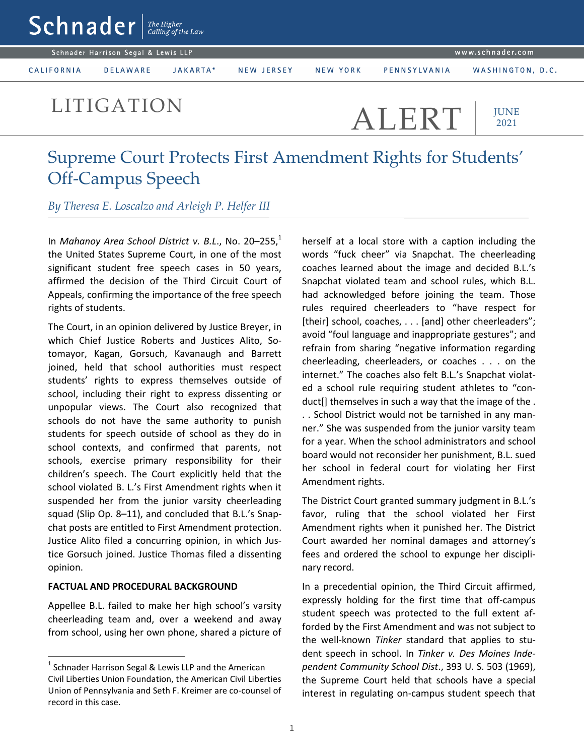**IUNE** 2021 LITIGATION ALERT

# Supreme Court Protects First Amendment Rights for Students' Off-Campus Speech

*By Theresa E. Loscalzo and Arleigh P. Helfer III*

In *Mahanoy Area School District v. B.L.*, No. 20–255,<sup>1</sup> the United States Supreme Court, in one of the most significant student free speech cases in 50 years, affirmed the decision of the Third Circuit Court of Appeals, confirming the importance of the free speech rights of students.

The Court, in an opinion delivered by Justice Breyer, in which Chief Justice Roberts and Justices Alito, Sotomayor, Kagan, Gorsuch, Kavanaugh and Barrett joined, held that school authorities must respect students' rights to express themselves outside of school, including their right to express dissenting or unpopular views. The Court also recognized that schools do not have the same authority to punish students for speech outside of school as they do in school contexts, and confirmed that parents, not schools, exercise primary responsibility for their children's speech. The Court explicitly held that the school violated B. L.'s First Amendment rights when it suspended her from the junior varsity cheerleading squad (Slip Op. 8–11), and concluded that B.L.'s Snapchat posts are entitled to First Amendment protection. Justice Alito filed a concurring opinion, in which Justice Gorsuch joined. Justice Thomas filed a dissenting opinion.

## **FACTUAL AND PROCEDURAL BACKGROUND**

 $\overline{a}$ 

Appellee B.L. failed to make her high school's varsity cheerleading team and, over a weekend and away from school, using her own phone, shared a picture of

herself at a local store with a caption including the words "fuck cheer" via Snapchat. The cheerleading coaches learned about the image and decided B.L.'s Snapchat violated team and school rules, which B.L. had acknowledged before joining the team. Those rules required cheerleaders to "have respect for [their] school, coaches, . . . [and] other cheerleaders"; avoid "foul language and inappropriate gestures"; and refrain from sharing "negative information regarding cheerleading, cheerleaders, or coaches . . . on the internet." The coaches also felt B.L.'s Snapchat violated a school rule requiring student athletes to "conduct[] themselves in such a way that the image of the . . . School District would not be tarnished in any manner." She was suspended from the junior varsity team for a year. When the school administrators and school board would not reconsider her punishment, B.L. sued her school in federal court for violating her First Amendment rights.

The District Court granted summary judgment in B.L.'s favor, ruling that the school violated her First Amendment rights when it punished her. The District Court awarded her nominal damages and attorney's fees and ordered the school to expunge her disciplinary record.

In a precedential opinion, the Third Circuit affirmed, expressly holding for the first time that off-campus student speech was protected to the full extent afforded by the First Amendment and was not subject to the well-known *Tinker* standard that applies to student speech in school. In *Tinker v. Des Moines Independent Community School Dist*., 393 U. S. 503 (1969), the Supreme Court held that schools have a special interest in regulating on-campus student speech that

 $<sup>1</sup>$  Schnader Harrison Segal & Lewis LLP and the American</sup> Civil Liberties Union Foundation, the American Civil Liberties Union of Pennsylvania and Seth F. Kreimer are co-counsel of record in this case.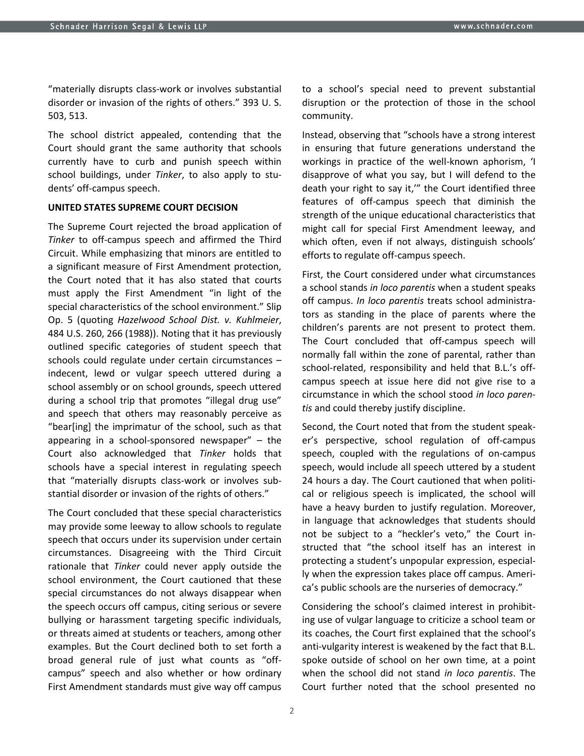"materially disrupts class-work or involves substantial disorder or invasion of the rights of others." 393 U. S. 503, 513.

The school district appealed, contending that the Court should grant the same authority that schools currently have to curb and punish speech within school buildings, under *Tinker*, to also apply to students' off-campus speech.

### **UNITED STATES SUPREME COURT DECISION**

The Supreme Court rejected the broad application of *Tinker* to off-campus speech and affirmed the Third Circuit. While emphasizing that minors are entitled to a significant measure of First Amendment protection, the Court noted that it has also stated that courts must apply the First Amendment "in light of the special characteristics of the school environment." Slip Op. 5 (quoting *Hazelwood School Dist. v. Kuhlmeier*, 484 U.S. 260, 266 (1988)). Noting that it has previously outlined specific categories of student speech that schools could regulate under certain circumstances – indecent, lewd or vulgar speech uttered during a school assembly or on school grounds, speech uttered during a school trip that promotes "illegal drug use" and speech that others may reasonably perceive as "bear[ing] the imprimatur of the school, such as that appearing in a school-sponsored newspaper" – the Court also acknowledged that *Tinker* holds that schools have a special interest in regulating speech that "materially disrupts class-work or involves substantial disorder or invasion of the rights of others."

The Court concluded that these special characteristics may provide some leeway to allow schools to regulate speech that occurs under its supervision under certain circumstances. Disagreeing with the Third Circuit rationale that *Tinker* could never apply outside the school environment, the Court cautioned that these special circumstances do not always disappear when the speech occurs off campus, citing serious or severe bullying or harassment targeting specific individuals, or threats aimed at students or teachers, among other examples. But the Court declined both to set forth a broad general rule of just what counts as "offcampus" speech and also whether or how ordinary First Amendment standards must give way off campus

to a school's special need to prevent substantial disruption or the protection of those in the school community.

Instead, observing that "schools have a strong interest in ensuring that future generations understand the workings in practice of the well-known aphorism, 'I disapprove of what you say, but I will defend to the death your right to say it,'" the Court identified three features of off-campus speech that diminish the strength of the unique educational characteristics that might call for special First Amendment leeway, and which often, even if not always, distinguish schools' efforts to regulate off-campus speech.

First, the Court considered under what circumstances a school stands *in loco parentis* when a student speaks off campus. *In loco parentis* treats school administrators as standing in the place of parents where the children's parents are not present to protect them. The Court concluded that off-campus speech will normally fall within the zone of parental, rather than school-related, responsibility and held that B.L.'s offcampus speech at issue here did not give rise to a circumstance in which the school stood *in loco parentis* and could thereby justify discipline.

Second, the Court noted that from the student speaker's perspective, school regulation of off-campus speech, coupled with the regulations of on-campus speech, would include all speech uttered by a student 24 hours a day. The Court cautioned that when political or religious speech is implicated, the school will have a heavy burden to justify regulation. Moreover, in language that acknowledges that students should not be subject to a "heckler's veto," the Court instructed that "the school itself has an interest in protecting a student's unpopular expression, especially when the expression takes place off campus. America's public schools are the nurseries of democracy."

Considering the school's claimed interest in prohibiting use of vulgar language to criticize a school team or its coaches, the Court first explained that the school's anti-vulgarity interest is weakened by the fact that B.L. spoke outside of school on her own time, at a point when the school did not stand *in loco parentis*. The Court further noted that the school presented no